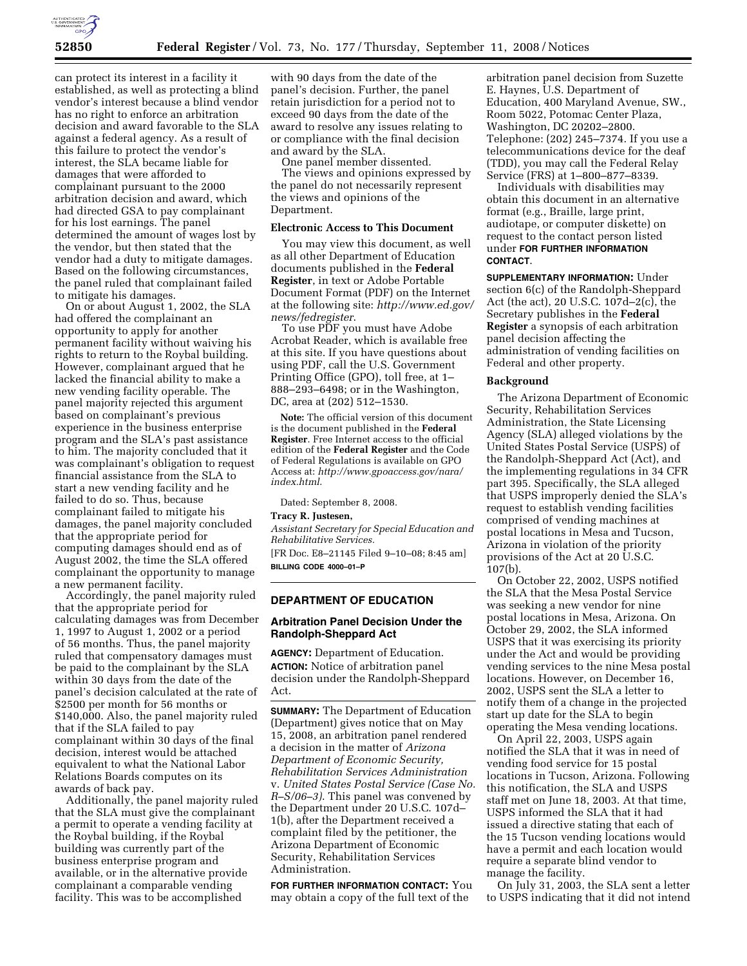

can protect its interest in a facility it established, as well as protecting a blind vendor's interest because a blind vendor has no right to enforce an arbitration decision and award favorable to the SLA against a federal agency. As a result of this failure to protect the vendor's interest, the SLA became liable for damages that were afforded to complainant pursuant to the 2000 arbitration decision and award, which had directed GSA to pay complainant for his lost earnings. The panel determined the amount of wages lost by the vendor, but then stated that the vendor had a duty to mitigate damages. Based on the following circumstances, the panel ruled that complainant failed to mitigate his damages.

On or about August 1, 2002, the SLA had offered the complainant an opportunity to apply for another permanent facility without waiving his rights to return to the Roybal building. However, complainant argued that he lacked the financial ability to make a new vending facility operable. The panel majority rejected this argument based on complainant's previous experience in the business enterprise program and the SLA's past assistance to him. The majority concluded that it was complainant's obligation to request financial assistance from the SLA to start a new vending facility and he failed to do so. Thus, because complainant failed to mitigate his damages, the panel majority concluded that the appropriate period for computing damages should end as of August 2002, the time the SLA offered complainant the opportunity to manage a new permanent facility.

Accordingly, the panel majority ruled that the appropriate period for calculating damages was from December 1, 1997 to August 1, 2002 or a period of 56 months. Thus, the panel majority ruled that compensatory damages must be paid to the complainant by the SLA within 30 days from the date of the panel's decision calculated at the rate of \$2500 per month for 56 months or \$140,000. Also, the panel majority ruled that if the SLA failed to pay complainant within 30 days of the final decision, interest would be attached equivalent to what the National Labor Relations Boards computes on its awards of back pay.

Additionally, the panel majority ruled that the SLA must give the complainant a permit to operate a vending facility at the Roybal building, if the Roybal building was currently part of the business enterprise program and available, or in the alternative provide complainant a comparable vending facility. This was to be accomplished

with 90 days from the date of the panel's decision. Further, the panel retain jurisdiction for a period not to exceed 90 days from the date of the award to resolve any issues relating to or compliance with the final decision and award by the SLA.

One panel member dissented. The views and opinions expressed by the panel do not necessarily represent the views and opinions of the Department.

### **Electronic Access to This Document**

You may view this document, as well as all other Department of Education documents published in the **Federal Register**, in text or Adobe Portable Document Format (PDF) on the Internet at the following site: *http://www.ed.gov/ news/fedregister*.

To use PDF you must have Adobe Acrobat Reader, which is available free at this site. If you have questions about using PDF, call the U.S. Government Printing Office (GPO), toll free, at 1– 888–293–6498; or in the Washington, DC, area at (202) 512–1530.

**Note:** The official version of this document is the document published in the **Federal Register**. Free Internet access to the official edition of the **Federal Register** and the Code of Federal Regulations is available on GPO Access at: *http://www.gpoaccess.gov/nara/ index.html*.

Dated: September 8, 2008.

# **Tracy R. Justesen,**

*Assistant Secretary for Special Education and Rehabilitative Services.*  [FR Doc. E8–21145 Filed 9–10–08; 8:45 am]

**BILLING CODE 4000–01–P** 

#### **DEPARTMENT OF EDUCATION**

# **Arbitration Panel Decision Under the Randolph-Sheppard Act**

**AGENCY:** Department of Education. **ACTION:** Notice of arbitration panel decision under the Randolph-Sheppard Act.

**SUMMARY:** The Department of Education (Department) gives notice that on May 15, 2008, an arbitration panel rendered a decision in the matter of *Arizona Department of Economic Security, Rehabilitation Services Administration*  v. *United States Postal Service (Case No. R–S/06–3)*. This panel was convened by the Department under 20 U.S.C. 107d– 1(b), after the Department received a complaint filed by the petitioner, the Arizona Department of Economic Security, Rehabilitation Services Administration.

**FOR FURTHER INFORMATION CONTACT:** You may obtain a copy of the full text of the

arbitration panel decision from Suzette E. Haynes, U.S. Department of Education, 400 Maryland Avenue, SW., Room 5022, Potomac Center Plaza, Washington, DC 20202–2800. Telephone: (202) 245–7374. If you use a telecommunications device for the deaf (TDD), you may call the Federal Relay Service (FRS) at 1–800–877–8339.

Individuals with disabilities may obtain this document in an alternative format (e.g., Braille, large print, audiotape, or computer diskette) on request to the contact person listed under **FOR FURTHER INFORMATION CONTACT**.

**SUPPLEMENTARY INFORMATION:** Under section 6(c) of the Randolph-Sheppard Act (the act), 20 U.S.C. 107d–2(c), the Secretary publishes in the **Federal Register** a synopsis of each arbitration panel decision affecting the administration of vending facilities on Federal and other property.

#### **Background**

The Arizona Department of Economic Security, Rehabilitation Services Administration, the State Licensing Agency (SLA) alleged violations by the United States Postal Service (USPS) of the Randolph-Sheppard Act (Act), and the implementing regulations in 34 CFR part 395. Specifically, the SLA alleged that USPS improperly denied the SLA's request to establish vending facilities comprised of vending machines at postal locations in Mesa and Tucson, Arizona in violation of the priority provisions of the Act at 20 U.S.C. 107(b).

On October 22, 2002, USPS notified the SLA that the Mesa Postal Service was seeking a new vendor for nine postal locations in Mesa, Arizona. On October 29, 2002, the SLA informed USPS that it was exercising its priority under the Act and would be providing vending services to the nine Mesa postal locations. However, on December 16, 2002, USPS sent the SLA a letter to notify them of a change in the projected start up date for the SLA to begin operating the Mesa vending locations.

On April 22, 2003, USPS again notified the SLA that it was in need of vending food service for 15 postal locations in Tucson, Arizona. Following this notification, the SLA and USPS staff met on June 18, 2003. At that time, USPS informed the SLA that it had issued a directive stating that each of the 15 Tucson vending locations would have a permit and each location would require a separate blind vendor to manage the facility.

On July 31, 2003, the SLA sent a letter to USPS indicating that it did not intend